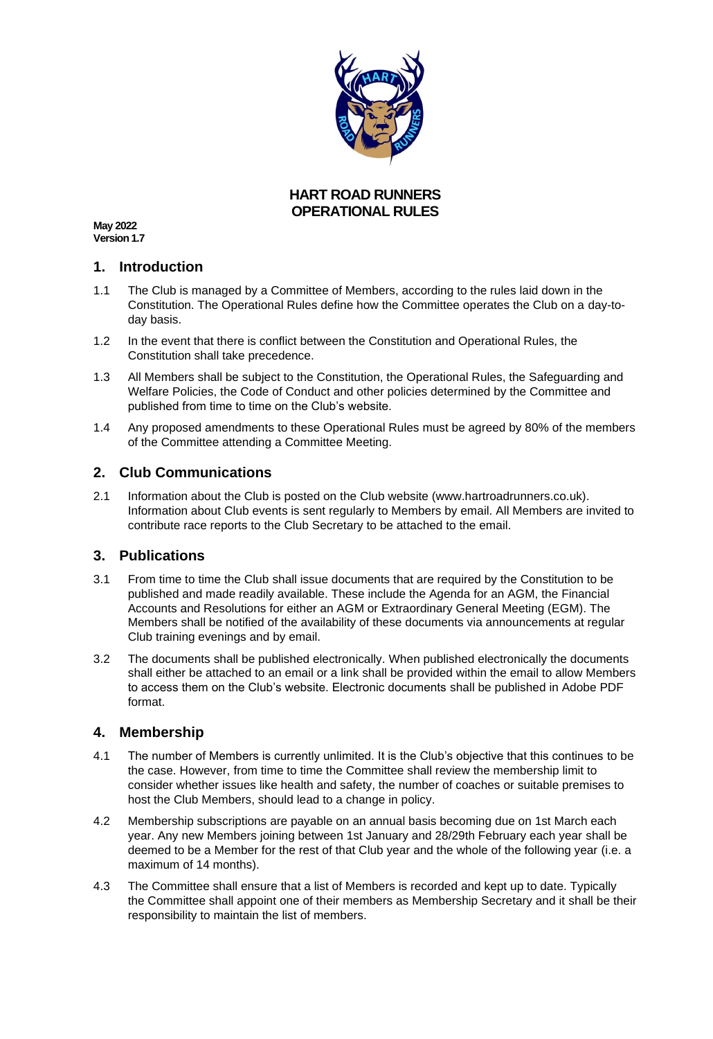

### **HART ROAD RUNNERS OPERATIONAL RULES**

**May 2022 Version 1.7**

### **1. Introduction**

- 1.1 The Club is managed by a Committee of Members, according to the rules laid down in the Constitution. The Operational Rules define how the Committee operates the Club on a day-today basis.
- 1.2 In the event that there is conflict between the Constitution and Operational Rules, the Constitution shall take precedence.
- 1.3 All Members shall be subject to the Constitution, the Operational Rules, the Safeguarding and Welfare Policies, the Code of Conduct and other policies determined by the Committee and published from time to time on the Club's website.
- 1.4 Any proposed amendments to these Operational Rules must be agreed by 80% of the members of the Committee attending a Committee Meeting.

## **2. Club Communications**

2.1 Information about the Club is posted on the Club website (www.hartroadrunners.co.uk). Information about Club events is sent regularly to Members by email. All Members are invited to contribute race reports to the Club Secretary to be attached to the email.

### **3. Publications**

- 3.1 From time to time the Club shall issue documents that are required by the Constitution to be published and made readily available. These include the Agenda for an AGM, the Financial Accounts and Resolutions for either an AGM or Extraordinary General Meeting (EGM). The Members shall be notified of the availability of these documents via announcements at regular Club training evenings and by email.
- 3.2 The documents shall be published electronically. When published electronically the documents shall either be attached to an email or a link shall be provided within the email to allow Members to access them on the Club's website. Electronic documents shall be published in Adobe PDF format.

### **4. Membership**

- 4.1 The number of Members is currently unlimited. It is the Club's objective that this continues to be the case. However, from time to time the Committee shall review the membership limit to consider whether issues like health and safety, the number of coaches or suitable premises to host the Club Members, should lead to a change in policy.
- 4.2 Membership subscriptions are payable on an annual basis becoming due on 1st March each year. Any new Members joining between 1st January and 28/29th February each year shall be deemed to be a Member for the rest of that Club year and the whole of the following year (i.e. a maximum of 14 months).
- 4.3 The Committee shall ensure that a list of Members is recorded and kept up to date. Typically the Committee shall appoint one of their members as Membership Secretary and it shall be their responsibility to maintain the list of members.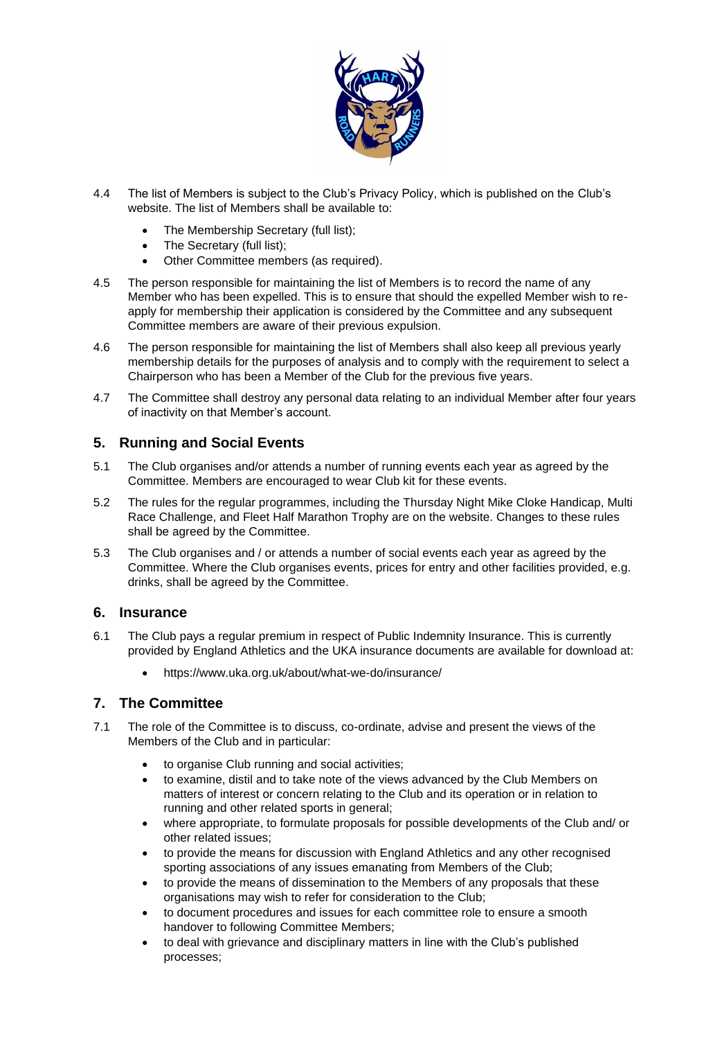

- 4.4 The list of Members is subject to the Club's Privacy Policy, which is published on the Club's website. The list of Members shall be available to:
	- The Membership Secretary (full list);
	- The Secretary (full list);
	- Other Committee members (as required).
- 4.5 The person responsible for maintaining the list of Members is to record the name of any Member who has been expelled. This is to ensure that should the expelled Member wish to reapply for membership their application is considered by the Committee and any subsequent Committee members are aware of their previous expulsion.
- 4.6 The person responsible for maintaining the list of Members shall also keep all previous yearly membership details for the purposes of analysis and to comply with the requirement to select a Chairperson who has been a Member of the Club for the previous five years.
- 4.7 The Committee shall destroy any personal data relating to an individual Member after four years of inactivity on that Member's account.

## **5. Running and Social Events**

- 5.1 The Club organises and/or attends a number of running events each year as agreed by the Committee. Members are encouraged to wear Club kit for these events.
- 5.2 The rules for the regular programmes, including the Thursday Night Mike Cloke Handicap, Multi Race Challenge, and Fleet Half Marathon Trophy are on the website. Changes to these rules shall be agreed by the Committee.
- 5.3 The Club organises and / or attends a number of social events each year as agreed by the Committee. Where the Club organises events, prices for entry and other facilities provided, e.g. drinks, shall be agreed by the Committee.

### **6. Insurance**

- 6.1 The Club pays a regular premium in respect of Public Indemnity Insurance. This is currently provided by England Athletics and the UKA insurance documents are available for download at:
	- <https://www.uka.org.uk/about/what-we-do/insurance/>

### **7. The Committee**

- 7.1 The role of the Committee is to discuss, co-ordinate, advise and present the views of the Members of the Club and in particular:
	- to organise Club running and social activities;
	- to examine, distil and to take note of the views advanced by the Club Members on matters of interest or concern relating to the Club and its operation or in relation to running and other related sports in general;
	- where appropriate, to formulate proposals for possible developments of the Club and/ or other related issues;
	- to provide the means for discussion with England Athletics and any other recognised sporting associations of any issues emanating from Members of the Club;
	- to provide the means of dissemination to the Members of any proposals that these organisations may wish to refer for consideration to the Club;
	- to document procedures and issues for each committee role to ensure a smooth handover to following Committee Members;
	- to deal with grievance and disciplinary matters in line with the Club's published processes;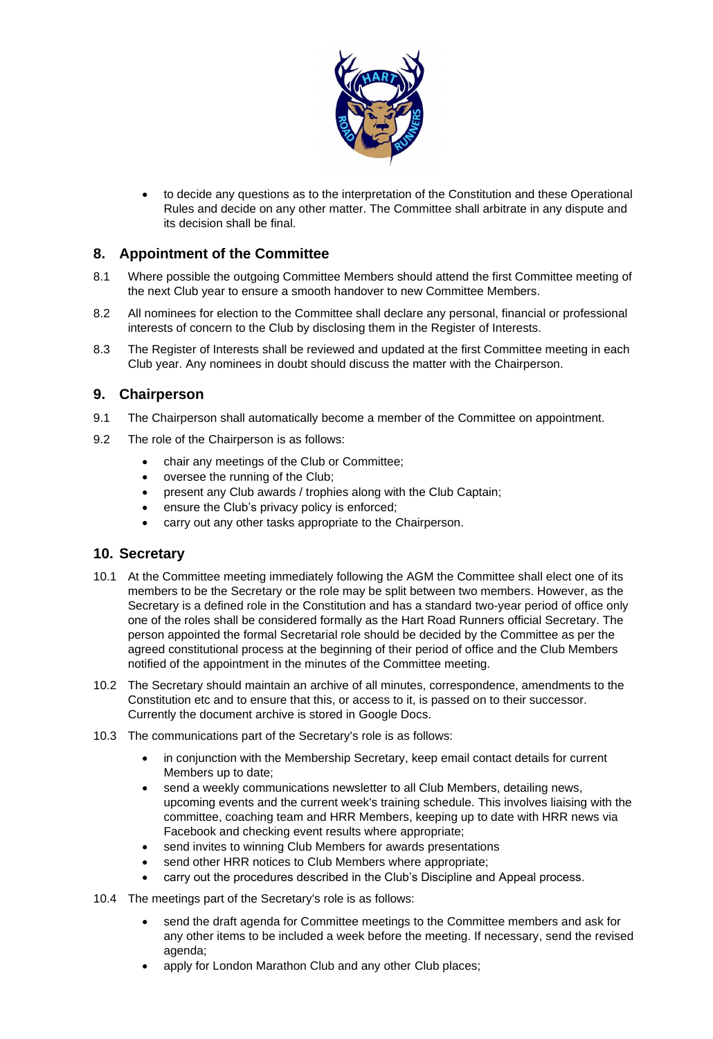

• to decide any questions as to the interpretation of the Constitution and these Operational Rules and decide on any other matter. The Committee shall arbitrate in any dispute and its decision shall be final.

## **8. Appointment of the Committee**

- 8.1 Where possible the outgoing Committee Members should attend the first Committee meeting of the next Club year to ensure a smooth handover to new Committee Members.
- 8.2 All nominees for election to the Committee shall declare any personal, financial or professional interests of concern to the Club by disclosing them in the Register of Interests.
- 8.3 The Register of Interests shall be reviewed and updated at the first Committee meeting in each Club year. Any nominees in doubt should discuss the matter with the Chairperson.

### **9. Chairperson**

- 9.1 The Chairperson shall automatically become a member of the Committee on appointment.
- 9.2 The role of the Chairperson is as follows:
	- chair any meetings of the Club or Committee;
	- oversee the running of the Club;
	- present any Club awards / trophies along with the Club Captain;
	- ensure the Club's privacy policy is enforced;
	- carry out any other tasks appropriate to the Chairperson.

#### **10. Secretary**

- 10.1 At the Committee meeting immediately following the AGM the Committee shall elect one of its members to be the Secretary or the role may be split between two members. However, as the Secretary is a defined role in the Constitution and has a standard two-year period of office only one of the roles shall be considered formally as the Hart Road Runners official Secretary. The person appointed the formal Secretarial role should be decided by the Committee as per the agreed constitutional process at the beginning of their period of office and the Club Members notified of the appointment in the minutes of the Committee meeting.
- 10.2 The Secretary should maintain an archive of all minutes, correspondence, amendments to the Constitution etc and to ensure that this, or access to it, is passed on to their successor. Currently the document archive is stored in Google Docs.
- 10.3 The communications part of the Secretary's role is as follows:
	- in conjunction with the Membership Secretary, keep email contact details for current Members up to date;
	- send a weekly communications newsletter to all Club Members, detailing news, upcoming events and the current week's training schedule. This involves liaising with the committee, coaching team and HRR Members, keeping up to date with HRR news via Facebook and checking event results where appropriate;
	- send invites to winning Club Members for awards presentations
	- send other HRR notices to Club Members where appropriate;
	- carry out the procedures described in the Club's Discipline and Appeal process.
- 10.4 The meetings part of the Secretary's role is as follows:
	- send the draft agenda for Committee meetings to the Committee members and ask for any other items to be included a week before the meeting. If necessary, send the revised agenda;
	- apply for London Marathon Club and any other Club places;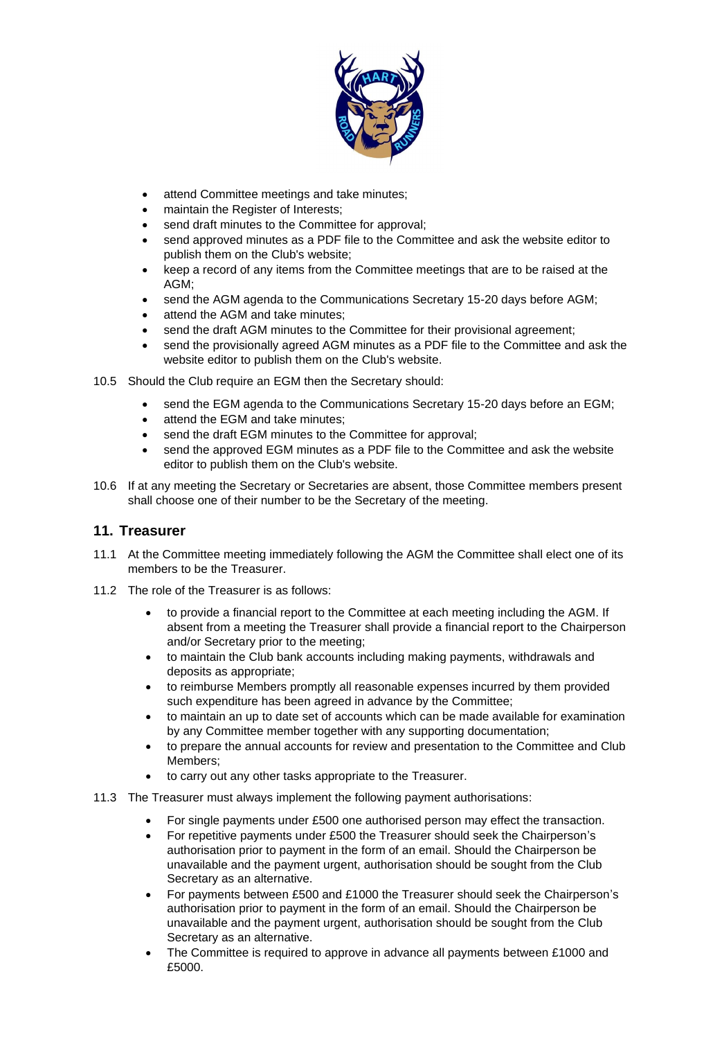

- attend Committee meetings and take minutes;
- maintain the Register of Interests;
- send draft minutes to the Committee for approval;
- send approved minutes as a PDF file to the Committee and ask the website editor to publish them on the Club's website;
- keep a record of any items from the Committee meetings that are to be raised at the AGM;
- send the AGM agenda to the Communications Secretary 15-20 days before AGM;
- attend the AGM and take minutes;
- send the draft AGM minutes to the Committee for their provisional agreement;
- send the provisionally agreed AGM minutes as a PDF file to the Committee and ask the website editor to publish them on the Club's website.
- 10.5 Should the Club require an EGM then the Secretary should:
	- send the EGM agenda to the Communications Secretary 15-20 days before an EGM;
	- attend the EGM and take minutes;
	- send the draft EGM minutes to the Committee for approval;
	- send the approved EGM minutes as a PDF file to the Committee and ask the website editor to publish them on the Club's website.
- 10.6 If at any meeting the Secretary or Secretaries are absent, those Committee members present shall choose one of their number to be the Secretary of the meeting.

### **11. Treasurer**

- 11.1 At the Committee meeting immediately following the AGM the Committee shall elect one of its members to be the Treasurer.
- 11.2 The role of the Treasurer is as follows:
	- to provide a financial report to the Committee at each meeting including the AGM. If absent from a meeting the Treasurer shall provide a financial report to the Chairperson and/or Secretary prior to the meeting;
	- to maintain the Club bank accounts including making payments, withdrawals and deposits as appropriate;
	- to reimburse Members promptly all reasonable expenses incurred by them provided such expenditure has been agreed in advance by the Committee;
	- to maintain an up to date set of accounts which can be made available for examination by any Committee member together with any supporting documentation;
	- to prepare the annual accounts for review and presentation to the Committee and Club Members;
	- to carry out any other tasks appropriate to the Treasurer.
- 11.3 The Treasurer must always implement the following payment authorisations:
	- For single payments under £500 one authorised person may effect the transaction.
	- For repetitive payments under £500 the Treasurer should seek the Chairperson's authorisation prior to payment in the form of an email. Should the Chairperson be unavailable and the payment urgent, authorisation should be sought from the Club Secretary as an alternative.
	- For payments between £500 and £1000 the Treasurer should seek the Chairperson's authorisation prior to payment in the form of an email. Should the Chairperson be unavailable and the payment urgent, authorisation should be sought from the Club Secretary as an alternative.
	- The Committee is required to approve in advance all payments between £1000 and £5000.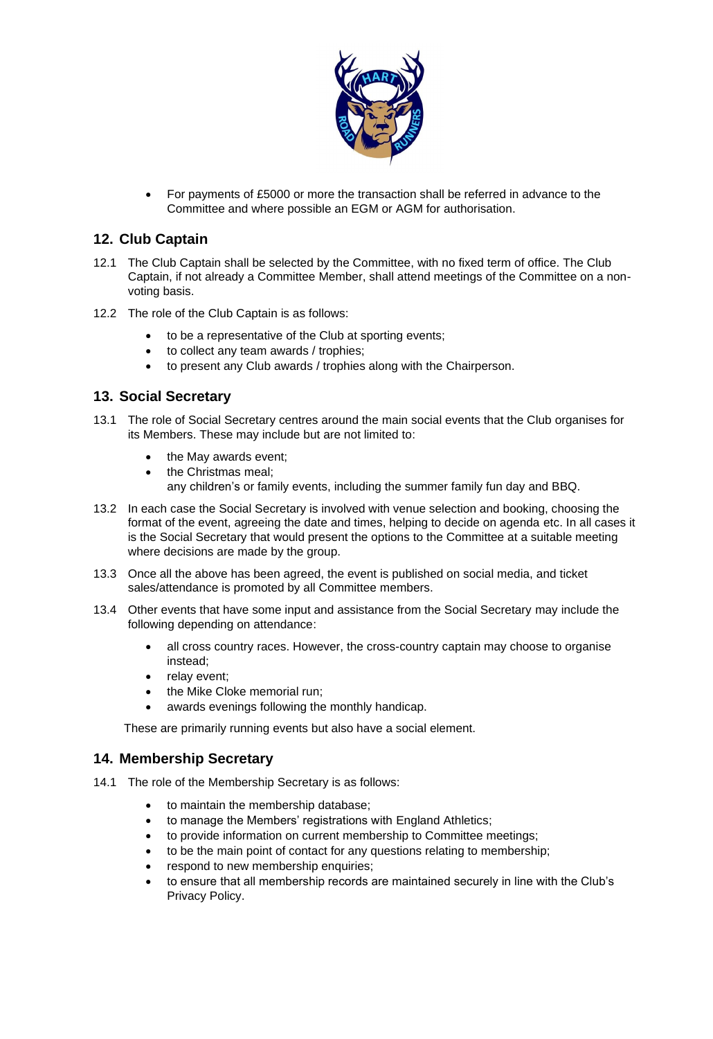

• For payments of £5000 or more the transaction shall be referred in advance to the Committee and where possible an EGM or AGM for authorisation.

## **12. Club Captain**

- 12.1 The Club Captain shall be selected by the Committee, with no fixed term of office. The Club Captain, if not already a Committee Member, shall attend meetings of the Committee on a nonvoting basis.
- 12.2 The role of the Club Captain is as follows:
	- to be a representative of the Club at sporting events;
	- to collect any team awards / trophies;
	- to present any Club awards / trophies along with the Chairperson.

## **13. Social Secretary**

- 13.1 The role of Social Secretary centres around the main social events that the Club organises for its Members. These may include but are not limited to:
	- the May awards event;
	- the Christmas meal; any children's or family events, including the summer family fun day and BBQ.
- 13.2 In each case the Social Secretary is involved with venue selection and booking, choosing the format of the event, agreeing the date and times, helping to decide on agenda etc. In all cases it is the Social Secretary that would present the options to the Committee at a suitable meeting where decisions are made by the group.
- 13.3 Once all the above has been agreed, the event is published on social media, and ticket sales/attendance is promoted by all Committee members.
- 13.4 Other events that have some input and assistance from the Social Secretary may include the following depending on attendance:
	- all cross country races. However, the cross-country captain may choose to organise instead;
	- relay event;
	- the Mike Cloke memorial run;
	- awards evenings following the monthly handicap.

These are primarily running events but also have a social element.

### **14. Membership Secretary**

- 14.1 The role of the Membership Secretary is as follows:
	- to maintain the membership database;
	- to manage the Members' registrations with England Athletics;
	- to provide information on current membership to Committee meetings;
	- to be the main point of contact for any questions relating to membership;
	- respond to new membership enquiries;
	- to ensure that all membership records are maintained securely in line with the Club's Privacy Policy.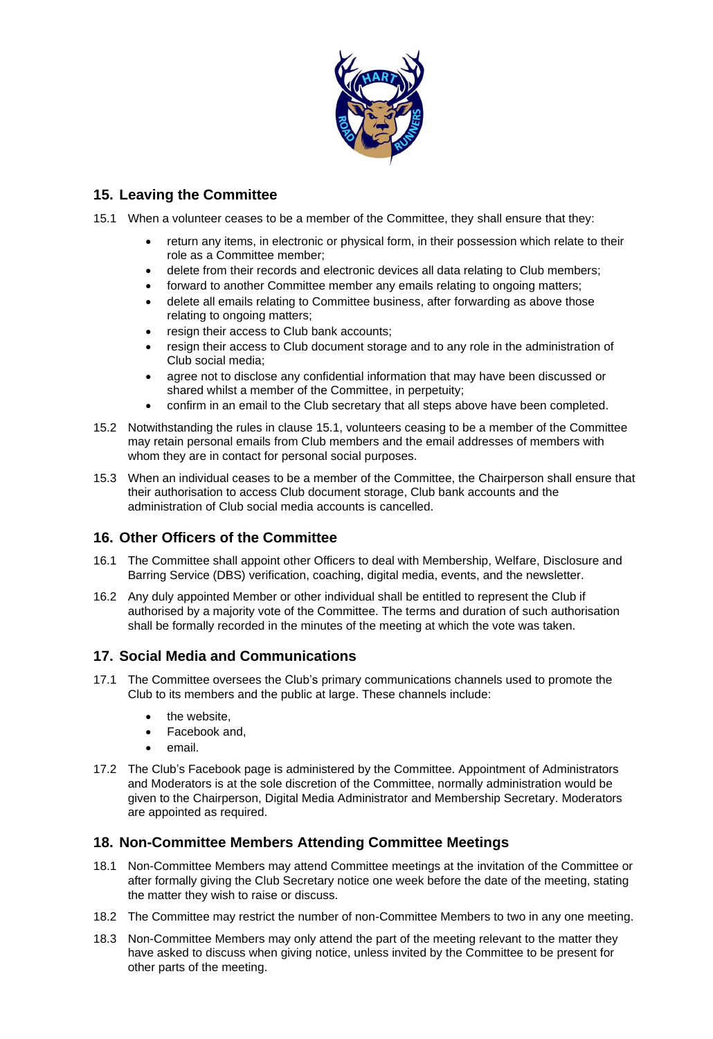

# **15. Leaving the Committee**

<span id="page-5-0"></span>15.1 When a volunteer ceases to be a member of the Committee, they shall ensure that they:

- return any items, in electronic or physical form, in their possession which relate to their role as a Committee member;
- delete from their records and electronic devices all data relating to Club members;
- forward to another Committee member any emails relating to ongoing matters;
- delete all emails relating to Committee business, after forwarding as above those relating to ongoing matters;
- resign their access to Club bank accounts;
- resign their access to Club document storage and to any role in the administration of Club social media;
- agree not to disclose any confidential information that may have been discussed or shared whilst a member of the Committee, in perpetuity;
- confirm in an email to the Club secretary that all steps above have been completed.
- 15.2 Notwithstanding the rules in clause [15.1,](#page-5-0) volunteers ceasing to be a member of the Committee may retain personal emails from Club members and the email addresses of members with whom they are in contact for personal social purposes.
- 15.3 When an individual ceases to be a member of the Committee, the Chairperson shall ensure that their authorisation to access Club document storage, Club bank accounts and the administration of Club social media accounts is cancelled.

## **16. Other Officers of the Committee**

- 16.1 The Committee shall appoint other Officers to deal with Membership, Welfare, Disclosure and Barring Service (DBS) verification, coaching, digital media, events, and the newsletter.
- 16.2 Any duly appointed Member or other individual shall be entitled to represent the Club if authorised by a majority vote of the Committee. The terms and duration of such authorisation shall be formally recorded in the minutes of the meeting at which the vote was taken.

## **17. Social Media and Communications**

- 17.1 The Committee oversees the Club's primary communications channels used to promote the Club to its members and the public at large. These channels include:
	- the website,
	- Facebook and,
	- email.
- 17.2 The Club's Facebook page is administered by the Committee. Appointment of Administrators and Moderators is at the sole discretion of the Committee, normally administration would be given to the Chairperson, Digital Media Administrator and Membership Secretary. Moderators are appointed as required.

## **18. Non-Committee Members Attending Committee Meetings**

- 18.1 Non-Committee Members may attend Committee meetings at the invitation of the Committee or after formally giving the Club Secretary notice one week before the date of the meeting, stating the matter they wish to raise or discuss.
- 18.2 The Committee may restrict the number of non-Committee Members to two in any one meeting.
- 18.3 Non-Committee Members may only attend the part of the meeting relevant to the matter they have asked to discuss when giving notice, unless invited by the Committee to be present for other parts of the meeting.